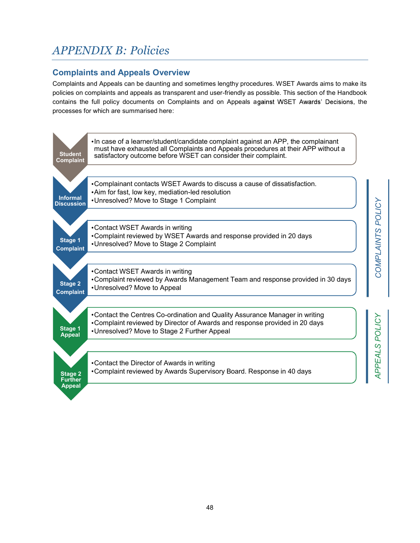# APPENDIX B: Policies

# Complaints and Appeals Overview

Complaints and Appeals can be daunting and sometimes lengthy procedures. WSET Awards aims to make its policies on complaints and appeals as transparent and user-friendly as possible. This section of the Handbook contains the full policy documents on Complaints and on Appeals against WSET Awards' Decisions, the processes for which are summarised here:

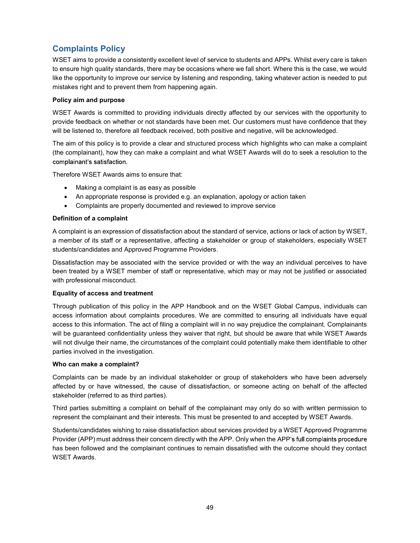# Complaints Policy

WSET aims to provide a consistently excellent level of service to students and APPs. Whilst every care is taken to ensure high quality standards, there may be occasions where we fall short. Where this is the case, we would like the opportunity to improve our service by listening and responding, taking whatever action is needed to put mistakes right and to prevent them from happening again.

### Policy aim and purpose

WSET Awards is committed to providing individuals directly affected by our services with the opportunity to provide feedback on whether or not standards have been met. Our customers must have confidence that they will be listened to, therefore all feedback received, both positive and negative, will be acknowledged.

The aim of this policy is to provide a clear and structured process which highlights who can make a complaint (the complainant), how they can make a complaint and what WSET Awards will do to seek a resolution to the complainant's satisfaction.

Therefore WSET Awards aims to ensure that:

- Making a complaint is as easy as possible
- An appropriate response is provided e.g. an explanation, apology or action taken
- Complaints are properly documented and reviewed to improve service

# Definition of a complaint

A complaint is an expression of dissatisfaction about the standard of service, actions or lack of action by WSET, a member of its staff or a representative, affecting a stakeholder or group of stakeholders, especially WSET students/candidates and Approved Programme Providers.

Dissatisfaction may be associated with the service provided or with the way an individual perceives to have been treated by a WSET member of staff or representative, which may or may not be justified or associated with professional misconduct.

### Equality of access and treatment

Through publication of this policy in the APP Handbook and on the WSET Global Campus, individuals can access information about complaints procedures. We are committed to ensuring all individuals have equal access to this information. The act of filing a complaint will in no way prejudice the complainant. Complainants will be guaranteed confidentiality unless they waiver that right, but should be aware that while WSET Awards will not divulge their name, the circumstances of the complaint could potentially make them identifiable to other parties involved in the investigation.

#### Who can make a complaint?

Complaints can be made by an individual stakeholder or group of stakeholders who have been adversely affected by or have witnessed, the cause of dissatisfaction, or someone acting on behalf of the affected stakeholder (referred to as third parties).

Third parties submitting a complaint on behalf of the complainant may only do so with written permission to represent the complainant and their interests. This must be presented to and accepted by WSET Awards.

Students/candidates wishing to raise dissatisfaction about services provided by a WSET Approved Programme Provider (APP) must address their concern directly with the APP. Only when the APP's full complaints procedure has been followed and the complainant continues to remain dissatisfied with the outcome should they contact WSET Awards.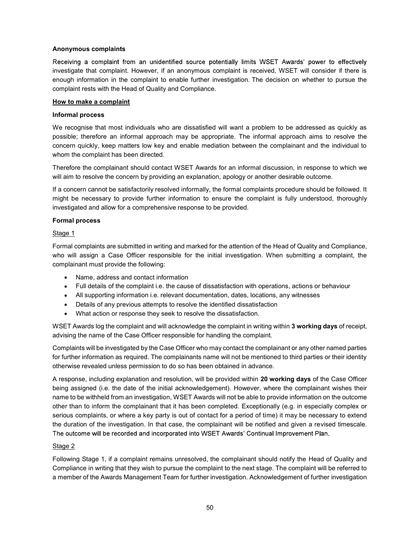#### Anonymous complaints

Receiving a complaint from an unidentified source potentially limits WSET Awards' power to effectively investigate that complaint. However, if an anonymous complaint is received, WSET will consider if there is enough information in the complaint to enable further investigation. The decision on whether to pursue the complaint rests with the Head of Quality and Compliance.

#### How to make a complaint

#### Informal process

We recognise that most individuals who are dissatisfied will want a problem to be addressed as quickly as possible; therefore an informal approach may be appropriate. The informal approach aims to resolve the concern quickly, keep matters low key and enable mediation between the complainant and the individual to whom the complaint has been directed.

Therefore the complainant should contact WSET Awards for an informal discussion, in response to which we will aim to resolve the concern by providing an explanation, apology or another desirable outcome.

If a concern cannot be satisfactorily resolved informally, the formal complaints procedure should be followed. It might be necessary to provide further information to ensure the complaint is fully understood, thoroughly investigated and allow for a comprehensive response to be provided.

#### Formal process

#### Stage 1

Formal complaints are submitted in writing and marked for the attention of the Head of Quality and Compliance, who will assign a Case Officer responsible for the initial investigation. When submitting a complaint, the complainant must provide the following:

- Name, address and contact information
- Full details of the complaint i.e. the cause of dissatisfaction with operations, actions or behaviour
- All supporting information i.e. relevant documentation, dates, locations, any witnesses
- Details of any previous attempts to resolve the identified dissatisfaction
- What action or response they seek to resolve the dissatisfaction.

WSET Awards log the complaint and will acknowledge the complaint in writing within 3 working days of receipt, advising the name of the Case Officer responsible for handling the complaint.

Complaints will be investigated by the Case Officer who may contact the complainant or any other named parties for further information as required. The complainants name will not be mentioned to third parties or their identity otherwise revealed unless permission to do so has been obtained in advance.

A response, including explanation and resolution, will be provided within 20 working days of the Case Officer being assigned (i.e. the date of the initial acknowledgement). However, where the complainant wishes their name to be withheld from an investigation, WSET Awards will not be able to provide information on the outcome other than to inform the complainant that it has been completed. Exceptionally (e.g. in especially complex or serious complaints, or where a key party is out of contact for a period of time) it may be necessary to extend the duration of the investigation. In that case, the complainant will be notified and given a revised timescale. The outcome will be recorded and incorporated into WSET Awards' Continual Improvement Plan.

#### Stage 2

Following Stage 1, if a complaint remains unresolved, the complainant should notify the Head of Quality and Compliance in writing that they wish to pursue the complaint to the next stage. The complaint will be referred to a member of the Awards Management Team for further investigation. Acknowledgement of further investigation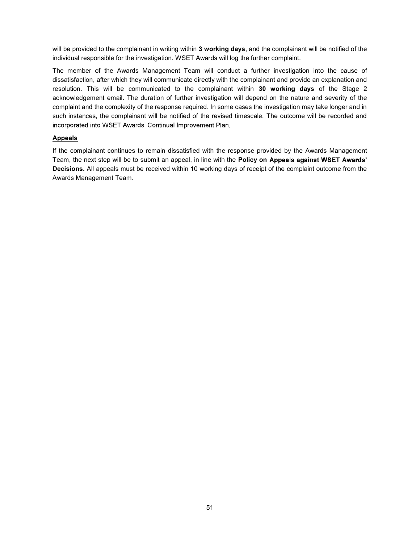will be provided to the complainant in writing within 3 working days, and the complainant will be notified of the individual responsible for the investigation. WSET Awards will log the further complaint.

The member of the Awards Management Team will conduct a further investigation into the cause of dissatisfaction, after which they will communicate directly with the complainant and provide an explanation and resolution. This will be communicated to the complainant within 30 working days of the Stage 2 acknowledgement email. The duration of further investigation will depend on the nature and severity of the complaint and the complexity of the response required. In some cases the investigation may take longer and in such instances, the complainant will be notified of the revised timescale. The outcome will be recorded and incorporated into WSET Awards' Continual Improvement Plan.

### Appeals

If the complainant continues to remain dissatisfied with the response provided by the Awards Management Team, the next step will be to submit an appeal, in line with the Policy on Appeals against WSET Awards' Decisions. All appeals must be received within 10 working days of receipt of the complaint outcome from the Awards Management Team.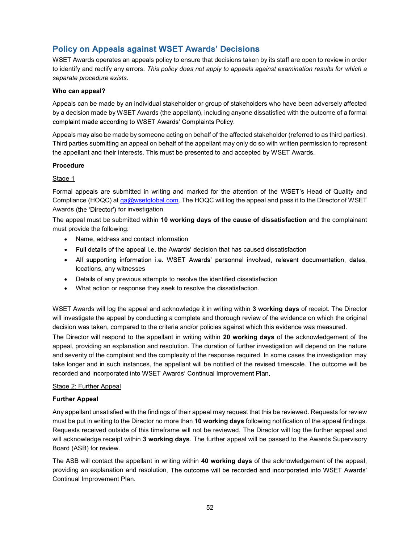# **Policy on Appeals against WSET Awards' Decisions**

WSET Awards operates an appeals policy to ensure that decisions taken by its staff are open to review in order to identify and rectify any errors. This policy does not apply to appeals against examination results for which a separate procedure exists.

#### Who can appeal?

Appeals can be made by an individual stakeholder or group of stakeholders who have been adversely affected by a decision made by WSET Awards (the appellant), including anyone dissatisfied with the outcome of a formal complaint made according to WSET Awards' Complaints Policy.

Appeals may also be made by someone acting on behalf of the affected stakeholder (referred to as third parties). Third parties submitting an appeal on behalf of the appellant may only do so with written permission to represent the appellant and their interests. This must be presented to and accepted by WSET Awards.

# Procedure

# Stage 1

Formal appeals are submitted in writing and marked for the attention of the WSET's Head of Quality and Compliance (HOQC) at ga@wsetglobal.com. The HOQC will log the appeal and pass it to the Director of WSET Awards (the 'Director') for investigation.

The appeal must be submitted within 10 working days of the cause of dissatisfaction and the complainant must provide the following:

- Name, address and contact information
- Full details of the appeal i.e. the Awards' decision that has caused dissatisfaction
- All supporting information i.e. WSET Awards' personnel involved, relevant documentation, dates, locations, any witnesses
- Details of any previous attempts to resolve the identified dissatisfaction
- What action or response they seek to resolve the dissatisfaction.

WSET Awards will log the appeal and acknowledge it in writing within 3 working days of receipt. The Director will investigate the appeal by conducting a complete and thorough review of the evidence on which the original decision was taken, compared to the criteria and/or policies against which this evidence was measured.

The Director will respond to the appellant in writing within 20 working days of the acknowledgement of the appeal, providing an explanation and resolution. The duration of further investigation will depend on the nature and severity of the complaint and the complexity of the response required. In some cases the investigation may take longer and in such instances, the appellant will be notified of the revised timescale. The outcome will be recorded and incorporated into WSET Awards' Continual Improvement Plan.

#### Stage 2: Further Appeal

#### Further Appeal

Any appellant unsatisfied with the findings of their appeal may request that this be reviewed. Requests for review must be put in writing to the Director no more than 10 working days following notification of the appeal findings. Requests received outside of this timeframe will not be reviewed. The Director will log the further appeal and will acknowledge receipt within 3 working days. The further appeal will be passed to the Awards Supervisory Board (ASB) for review.

The ASB will contact the appellant in writing within 40 working days of the acknowledgement of the appeal, providing an explanation and resolution. The outcome will be recorded and incorporated into WSET Awards' Continual Improvement Plan.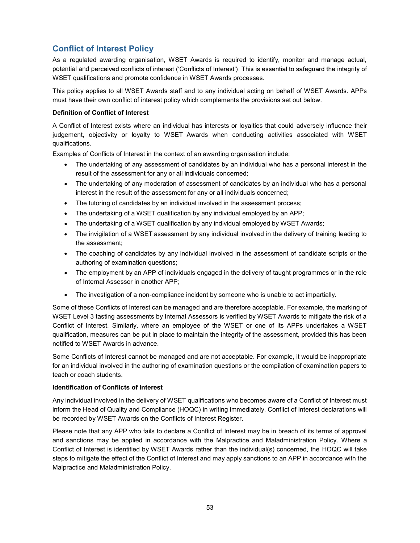# Conflict of Interest Policy

As a regulated awarding organisation, WSET Awards is required to identify, monitor and manage actual, potential and perceived conflicts of interest ('Conflicts of Interest'). This is essential to safequard the integrity of WSET qualifications and promote confidence in WSET Awards processes.

This policy applies to all WSET Awards staff and to any individual acting on behalf of WSET Awards. APPs must have their own conflict of interest policy which complements the provisions set out below.

# Definition of Conflict of Interest

A Conflict of Interest exists where an individual has interests or loyalties that could adversely influence their judgement, objectivity or loyalty to WSET Awards when conducting activities associated with WSET qualifications.

Examples of Conflicts of Interest in the context of an awarding organisation include:

- The undertaking of any assessment of candidates by an individual who has a personal interest in the result of the assessment for any or all individuals concerned;
- The undertaking of any moderation of assessment of candidates by an individual who has a personal interest in the result of the assessment for any or all individuals concerned;
- The tutoring of candidates by an individual involved in the assessment process;
- The undertaking of a WSET qualification by any individual employed by an APP;
- The undertaking of a WSET qualification by any individual employed by WSET Awards;
- The invigilation of a WSET assessment by any individual involved in the delivery of training leading to the assessment;
- The coaching of candidates by any individual involved in the assessment of candidate scripts or the authoring of examination questions;
- The employment by an APP of individuals engaged in the delivery of taught programmes or in the role of Internal Assessor in another APP;
- The investigation of a non-compliance incident by someone who is unable to act impartially.

Some of these Conflicts of Interest can be managed and are therefore acceptable. For example, the marking of WSET Level 3 tasting assessments by Internal Assessors is verified by WSET Awards to mitigate the risk of a Conflict of Interest. Similarly, where an employee of the WSET or one of its APPs undertakes a WSET qualification, measures can be put in place to maintain the integrity of the assessment, provided this has been notified to WSET Awards in advance.

Some Conflicts of Interest cannot be managed and are not acceptable. For example, it would be inappropriate for an individual involved in the authoring of examination questions or the compilation of examination papers to teach or coach students.

#### Identification of Conflicts of Interest

Any individual involved in the delivery of WSET qualifications who becomes aware of a Conflict of Interest must inform the Head of Quality and Compliance (HOQC) in writing immediately. Conflict of Interest declarations will be recorded by WSET Awards on the Conflicts of Interest Register.

Please note that any APP who fails to declare a Conflict of Interest may be in breach of its terms of approval and sanctions may be applied in accordance with the Malpractice and Maladministration Policy. Where a Conflict of Interest is identified by WSET Awards rather than the individual(s) concerned, the HOQC will take steps to mitigate the effect of the Conflict of Interest and may apply sanctions to an APP in accordance with the Malpractice and Maladministration Policy.